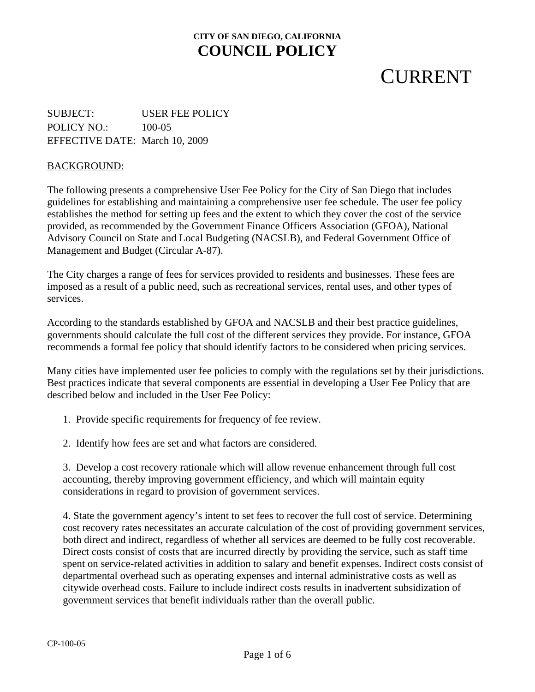# **CURRENT**

SUBJECT: USER FEE POLICY POLICY NO.: 100-05 EFFECTIVE DATE: March 10, 2009

#### BACKGROUND:

The following presents a comprehensive User Fee Policy for the City of San Diego that includes guidelines for establishing and maintaining a comprehensive user fee schedule. The user fee policy establishes the method for setting up fees and the extent to which they cover the cost of the service provided, as recommended by the Government Finance Officers Association (GFOA), National Advisory Council on State and Local Budgeting (NACSLB), and Federal Government Office of Management and Budget (Circular A-87).

The City charges a range of fees for services provided to residents and businesses. These fees are imposed as a result of a public need, such as recreational services, rental uses, and other types of services.

According to the standards established by GFOA and NACSLB and their best practice guidelines, governments should calculate the full cost of the different services they provide. For instance, GFOA recommends a formal fee policy that should identify factors to be considered when pricing services.

described below and included in the User Fee Policy: Many cities have implemented user fee policies to comply with the regulations set by their jurisdictions. Best practices indicate that several components are essential in developing a User Fee Policy that are

- 1. Provide specific requirements for frequency of fee review.
- 2. Identify how fees are set and what factors are considered.

3. Develop a cost recovery rationale which will allow revenue enhancement through full cost accounting, thereby improving government efficiency, and which will maintain equity considerations in regard to provision of government services.

4. State the government agency's intent to set fees to recover the full cost of service. Determining cost recovery rates necessitates an accurate calculation of the cost of providing government services, both direct and indirect, regardless of whether all services are deemed to be fully cost recoverable. Direct costs consist of costs that are incurred directly by providing the service, such as staff time spent on service-related activities in addition to salary and benefit expenses. Indirect costs consist of departmental overhead such as operating expenses and internal administrative costs as well as citywide overhead costs. Failure to include indirect costs results in inadvertent subsidization of government services that benefit individuals rather than the overall public.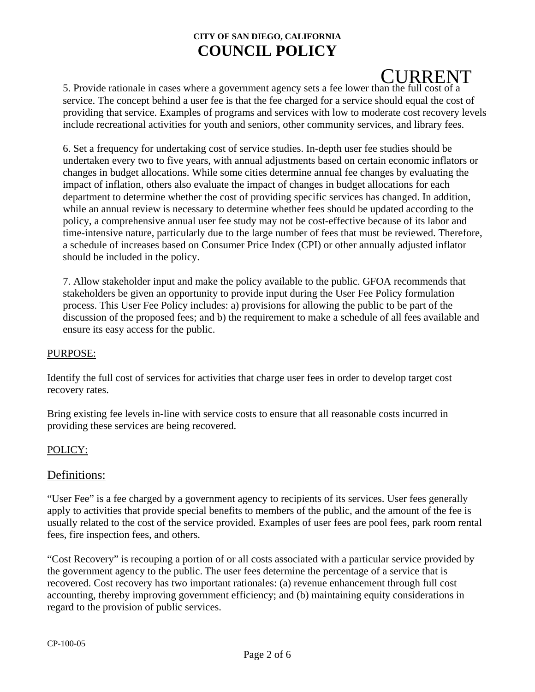# **CURRENT**

5. Provide rationale in cases where a government agency sets a fee lower than the full cost of a service. The concept behind a user fee is that the fee charged for a service should equal the cost of providing that service. Examples of programs and services with low to moderate cost recovery levels include recreational activities for youth and seniors, other community services, and library fees.

6. Set a frequency for undertaking cost of service studies. In-depth user fee studies should be undertaken every two to five years, with annual adjustments based on certain economic inflators or changes in budget allocations. While some cities determine annual fee changes by evaluating the impact of inflation, others also evaluate the impact of changes in budget allocations for each department to determine whether the cost of providing specific services has changed. In addition, while an annual review is necessary to determine whether fees should be updated according to the policy, a comprehensive annual user fee study may not be cost-effective because of its labor and time-intensive nature, particularly due to the large number of fees that must be reviewed. Therefore, a schedule of increases based on Consumer Price Index (CPI) or other annually adjusted inflator should be included in the policy.

7. Allow stakeholder input and make the policy available to the public. GFOA recommends that stakeholders be given an opportunity to provide input during the User Fee Policy formulation process. This User Fee Policy includes: a) provisions for allowing the public to be part of the discussion of the proposed fees; and b) the requirement to make a schedule of all fees available and ensure its easy access for the public.

#### PURPOSE:

Identify the full cost of services for activities that charge user fees in order to develop target cost recovery rates.

Bring existing fee levels in-line with service costs to ensure that all reasonable costs incurred in providing these services are being recovered.

### POLICY:

## Definitions:

"User Fee" is a fee charged by a government agency to recipients of its services. User fees generally apply to activities that provide special benefits to members of the public, and the amount of the fee is usually related to the cost of the service provided. Examples of user fees are pool fees, park room rental fees, fire inspection fees, and others.

"Cost Recovery" is recouping a portion of or all costs associated with a particular service provided by the government agency to the public. The user fees determine the percentage of a service that is recovered. Cost recovery has two important rationales: (a) revenue enhancement through full cost accounting, thereby improving government efficiency; and (b) maintaining equity considerations in regard to the provision of public services.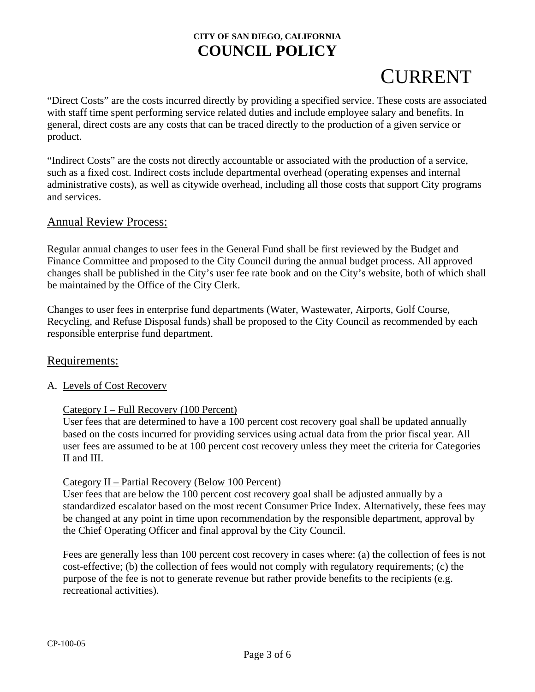# **CURRENT**

"Direct Costs" are the costs incurred directly by providing a specified service. These costs are associated with staff time spent performing service related duties and include employee salary and benefits. In general, direct costs are any costs that can be traced directly to the production of a given service or product.

"Indirect Costs" are the costs not directly accountable or associated with the production of a service, such as a fixed cost. Indirect costs include departmental overhead (operating expenses and internal administrative costs), as well as citywide overhead, including all those costs that support City programs and services.

## Annual Review Process:

Regular annual changes to user fees in the General Fund shall be first reviewed by the Budget and Finance Committee and proposed to the City Council during the annual budget process. All approved changes shall be published in the City's user fee rate book and on the City's website, both of which shall be maintained by the Office of the City Clerk.

Changes to user fees in enterprise fund departments (Water, Wastewater, Airports, Golf Course, Recycling, and Refuse Disposal funds) shall be proposed to the City Council as recommended by each responsible enterprise fund department.

### Requirements:

### A. Levels of Cost Recovery

### Category I – Full Recovery (100 Percent)

User fees that are determined to have a 100 percent cost recovery goal shall be updated annually based on the costs incurred for providing services using actual data from the prior fiscal year. All user fees are assumed to be at 100 percent cost recovery unless they meet the criteria for Categories II and III.

#### Category II – Partial Recovery (Below 100 Percent)

User fees that are below the 100 percent cost recovery goal shall be adjusted annually by a standardized escalator based on the most recent Consumer Price Index. Alternatively, these fees may be changed at any point in time upon recommendation by the responsible department, approval by the Chief Operating Officer and final approval by the City Council.

Fees are generally less than 100 percent cost recovery in cases where: (a) the collection of fees is not cost-effective; (b) the collection of fees would not comply with regulatory requirements; (c) the purpose of the fee is not to generate revenue but rather provide benefits to the recipients (e.g. recreational activities).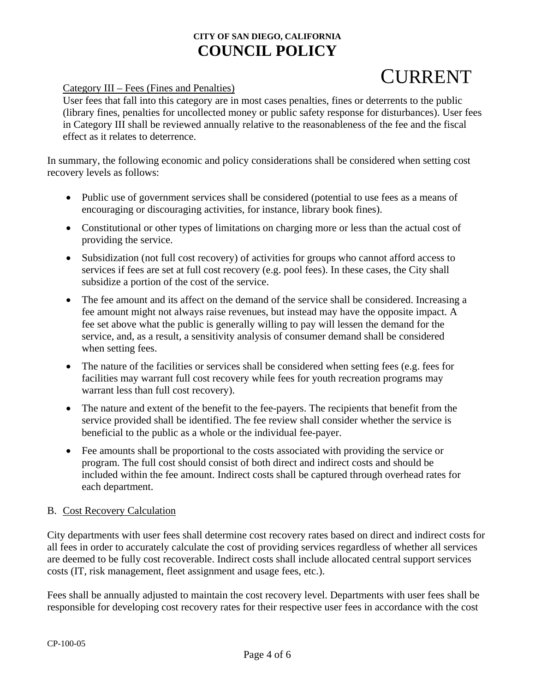# **CURRENT**

Category III – Fees (Fines and Penalties)

User fees that fall into this category are in most cases penalties, fines or deterrents to the public (library fines, penalties for uncollected money or public safety response for disturbances). User fees in Category III shall be reviewed annually relative to the reasonableness of the fee and the fiscal effect as it relates to deterrence.

In summary, the following economic and policy considerations shall be considered when setting cost recovery levels as follows:

- Public use of government services shall be considered (potential to use fees as a means of encouraging or discouraging activities, for instance, library book fines).
- Constitutional or other types of limitations on charging more or less than the actual cost of providing the service.
- Subsidization (not full cost recovery) of activities for groups who cannot afford access to services if fees are set at full cost recovery (e.g. pool fees). In these cases, the City shall subsidize a portion of the cost of the service.
- The fee amount and its affect on the demand of the service shall be considered. Increasing a fee amount might not always raise revenues, but instead may have the opposite impact. A fee set above what the public is generally willing to pay will lessen the demand for the service, and, as a result, a sensitivity analysis of consumer demand shall be considered when setting fees.
- The nature of the facilities or services shall be considered when setting fees (e.g. fees for facilities may warrant full cost recovery while fees for youth recreation programs may warrant less than full cost recovery).
- The nature and extent of the benefit to the fee-payers. The recipients that benefit from the service provided shall be identified. The fee review shall consider whether the service is beneficial to the public as a whole or the individual fee-payer.
- Fee amounts shall be proportional to the costs associated with providing the service or program. The full cost should consist of both direct and indirect costs and should be included within the fee amount. Indirect costs shall be captured through overhead rates for each department.

### B. Cost Recovery Calculation

City departments with user fees shall determine cost recovery rates based on direct and indirect costs for all fees in order to accurately calculate the cost of providing services regardless of whether all services are deemed to be fully cost recoverable. Indirect costs shall include allocated central support services costs (IT, risk management, fleet assignment and usage fees, etc.).

Fees shall be annually adjusted to maintain the cost recovery level. Departments with user fees shall be responsible for developing cost recovery rates for their respective user fees in accordance with the cost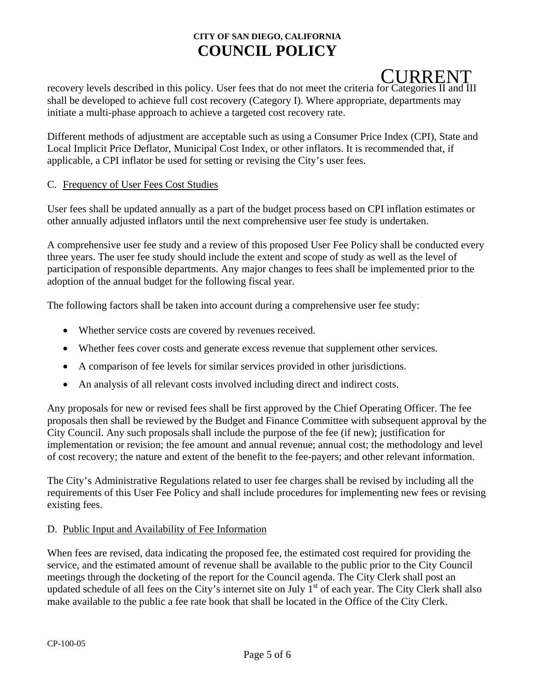# CURRENT

recovery levels described in this policy. User fees that do not meet the criteria for Categories II and III shall be developed to achieve full cost recovery (Category I). Where appropriate, departments may initiate a multi-phase approach to achieve a targeted cost recovery rate.

Different methods of adjustment are acceptable such as using a Consumer Price Index (CPI), State and Local Implicit Price Deflator, Municipal Cost Index, or other inflators. It is recommended that, if applicable, a CPI inflator be used for setting or revising the City's user fees.

#### C. Frequency of User Fees Cost Studies

User fees shall be updated annually as a part of the budget process based on CPI inflation estimates or other annually adjusted inflators until the next comprehensive user fee study is undertaken.

A comprehensive user fee study and a review of this proposed User Fee Policy shall be conducted every three years. The user fee study should include the extent and scope of study as well as the level of participation of responsible departments. Any major changes to fees shall be implemented prior to the adoption of the annual budget for the following fiscal year.

The following factors shall be taken into account during a comprehensive user fee study:

- Whether service costs are covered by revenues received.
- Whether fees cover costs and generate excess revenue that supplement other services.
- A comparison of fee levels for similar services provided in other jurisdictions.
- An analysis of all relevant costs involved including direct and indirect costs.

Any proposals for new or revised fees shall be first approved by the Chief Operating Officer. The fee proposals then shall be reviewed by the Budget and Finance Committee with subsequent approval by the City Council. Any such proposals shall include the purpose of the fee (if new); justification for implementation or revision; the fee amount and annual revenue; annual cost; the methodology and level of cost recovery; the nature and extent of the benefit to the fee-payers; and other relevant information.

The City's Administrative Regulations related to user fee charges shall be revised by including all the requirements of this User Fee Policy and shall include procedures for implementing new fees or revising existing fees.

#### D. Public Input and Availability of Fee Information

When fees are revised, data indicating the proposed fee, the estimated cost required for providing the service, and the estimated amount of revenue shall be available to the public prior to the City Council meetings through the docketing of the report for the Council agenda. The City Clerk shall post an updated schedule of all fees on the City's internet site on July 1<sup>st</sup> of each year. The City Clerk shall also make available to the public a fee rate book that shall be located in the Office of the City Clerk.